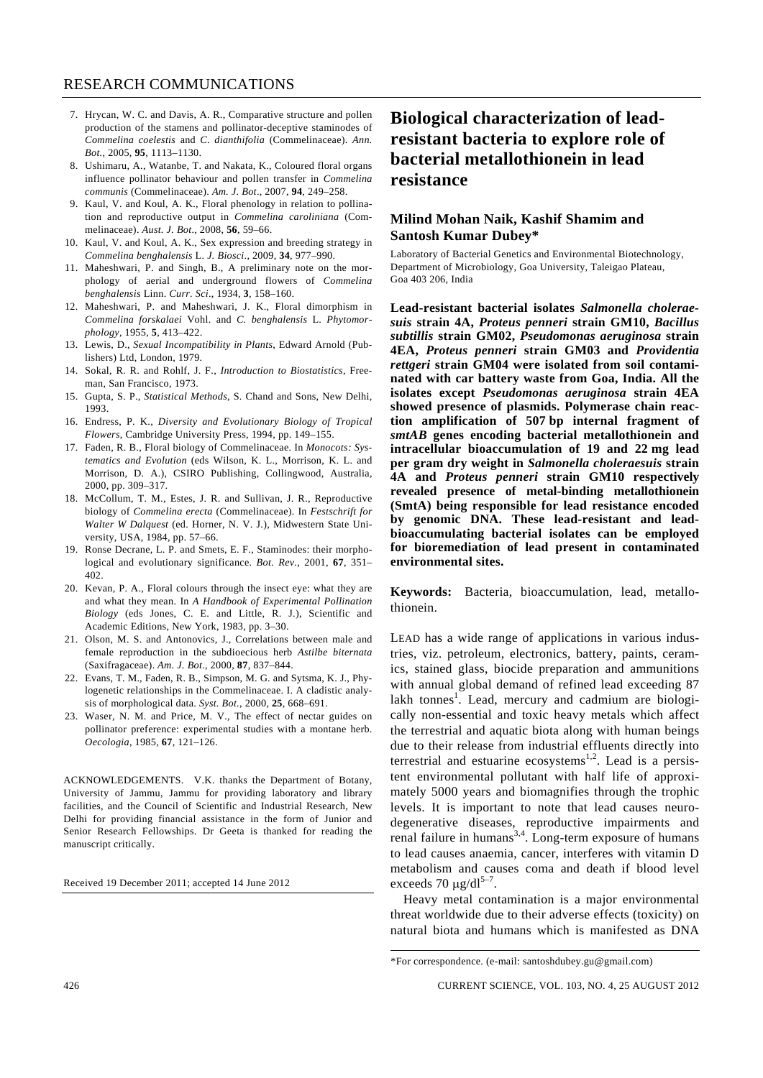- 7. Hrycan, W. C. and Davis, A. R., Comparative structure and pollen production of the stamens and pollinator-deceptive staminodes of *Commelina coelestis* and *C. dianthifolia* (Commelinaceae). *Ann. Bot.*, 2005, **95**, 1113–1130.
- 8. Ushimaru, A., Watanbe, T. and Nakata, K., Coloured floral organs influence pollinator behaviour and pollen transfer in *Commelina communis* (Commelinaceae). *Am. J. Bot*., 2007, **94**, 249–258.
- 9. Kaul, V. and Koul, A. K., Floral phenology in relation to pollination and reproductive output in *Commelina caroliniana* (Commelinaceae). *Aust. J. Bot*., 2008, **56**, 59–66.
- 10. Kaul, V. and Koul, A. K., Sex expression and breeding strategy in *Commelina benghalensis* L. *J. Biosci*., 2009, **34**, 977–990.
- 11. Maheshwari, P. and Singh, B., A preliminary note on the morphology of aerial and underground flowers of *Commelina benghalensis* Linn. *Curr. Sci*., 1934, **3**, 158–160.
- 12. Maheshwari, P. and Maheshwari, J. K., Floral dimorphism in *Commelina forskalaei* Vohl. and *C. benghalensis* L. *Phytomorphology*, 1955, **5**, 413–422.
- 13. Lewis, D., *Sexual Incompatibility in Plants*, Edward Arnold (Publishers) Ltd, London, 1979.
- 14. Sokal, R. R. and Rohlf, J. F., *Introduction to Biostatistics*, Freeman, San Francisco, 1973.
- 15. Gupta, S. P., *Statistical Methods*, S. Chand and Sons, New Delhi, 1993.
- 16. Endress, P. K., *Diversity and Evolutionary Biology of Tropical Flowers*, Cambridge University Press, 1994, pp. 149–155.
- 17. Faden, R. B., Floral biology of Commelinaceae. In *Monocots: Systematics and Evolution* (eds Wilson, K. L., Morrison, K. L. and Morrison, D. A.), CSIRO Publishing, Collingwood, Australia, 2000, pp. 309–317.
- 18. McCollum, T. M., Estes, J. R. and Sullivan, J. R., Reproductive biology of *Commelina erecta* (Commelinaceae). In *Festschrift for Walter W Dalquest* (ed. Horner, N. V. J.), Midwestern State University, USA, 1984, pp. 57–66.
- 19. Ronse Decrane, L. P. and Smets, E. F., Staminodes: their morphological and evolutionary significance. *Bot. Rev.*, 2001, **67**, 351– 402.
- 20. Kevan, P. A., Floral colours through the insect eye: what they are and what they mean. In *A Handbook of Experimental Pollination Biology* (eds Jones, C. E. and Little, R. J.), Scientific and Academic Editions, New York, 1983, pp. 3–30.
- 21. Olson, M. S. and Antonovics, J., Correlations between male and female reproduction in the subdioecious herb *Astilbe biternata*  (Saxifragaceae). *Am. J. Bot*., 2000, **87**, 837–844.
- 22. Evans, T. M., Faden, R. B., Simpson, M. G. and Sytsma, K. J., Phylogenetic relationships in the Commelinaceae. I. A cladistic analysis of morphological data. *Syst. Bot.*, 2000, **25**, 668–691.
- 23. Waser, N. M. and Price, M. V., The effect of nectar guides on pollinator preference: experimental studies with a montane herb. *Oecologia*, 1985, **67**, 121–126.

ACKNOWLEDGEMENTS. V.K. thanks the Department of Botany, University of Jammu, Jammu for providing laboratory and library facilities, and the Council of Scientific and Industrial Research, New Delhi for providing financial assistance in the form of Junior and Senior Research Fellowships. Dr Geeta is thanked for reading the manuscript critically.

Received 19 December 2011; accepted 14 June 2012

## **Biological characterization of leadresistant bacteria to explore role of bacterial metallothionein in lead resistance**

## **Milind Mohan Naik, Kashif Shamim and Santosh Kumar Dubey\***

Laboratory of Bacterial Genetics and Environmental Biotechnology, Department of Microbiology, Goa University, Taleigao Plateau, Goa 403 206, India

**Lead-resistant bacterial isolates** *Salmonella choleraesuis* **strain 4A,** *Proteus penneri* **strain GM10,** *Bacillus subtillis* **strain GM02,** *Pseudomonas aeruginosa* **strain 4EA,** *Proteus penneri* **strain GM03 and** *Providentia rettgeri* **strain GM04 were isolated from soil contaminated with car battery waste from Goa, India. All the isolates except** *Pseudomonas aeruginosa* **strain 4EA showed presence of plasmids. Polymerase chain reaction amplification of 507 bp internal fragment of**  *smtAB* **genes encoding bacterial metallothionein and intracellular bioaccumulation of 19 and 22 mg lead per gram dry weight in** *Salmonella choleraesuis* **strain 4A and** *Proteus penneri* **strain GM10 respectively revealed presence of metal-binding metallothionein (SmtA) being responsible for lead resistance encoded by genomic DNA. These lead-resistant and leadbioaccumulating bacterial isolates can be employed for bioremediation of lead present in contaminated environmental sites.** 

**Keywords:** Bacteria, bioaccumulation, lead, metallothionein.

LEAD has a wide range of applications in various industries, viz. petroleum, electronics, battery, paints, ceramics, stained glass, biocide preparation and ammunitions with annual global demand of refined lead exceeding 87 lakh tonnes<sup>1</sup>. Lead, mercury and cadmium are biologically non-essential and toxic heavy metals which affect the terrestrial and aquatic biota along with human beings due to their release from industrial effluents directly into terrestrial and estuarine ecosystems<sup>1,2</sup>. Lead is a persistent environmental pollutant with half life of approximately 5000 years and biomagnifies through the trophic levels. It is important to note that lead causes neurodegenerative diseases, reproductive impairments and renal failure in humans<sup>3,4</sup>. Long-term exposure of humans to lead causes anaemia, cancer, interferes with vitamin D metabolism and causes coma and death if blood level exceeds 70  $\mu$ g/dl<sup>5-7</sup>.

 Heavy metal contamination is a major environmental threat worldwide due to their adverse effects (toxicity) on natural biota and humans which is manifested as DNA

<sup>\*</sup>For correspondence. (e-mail: santoshdubey.gu@gmail.com)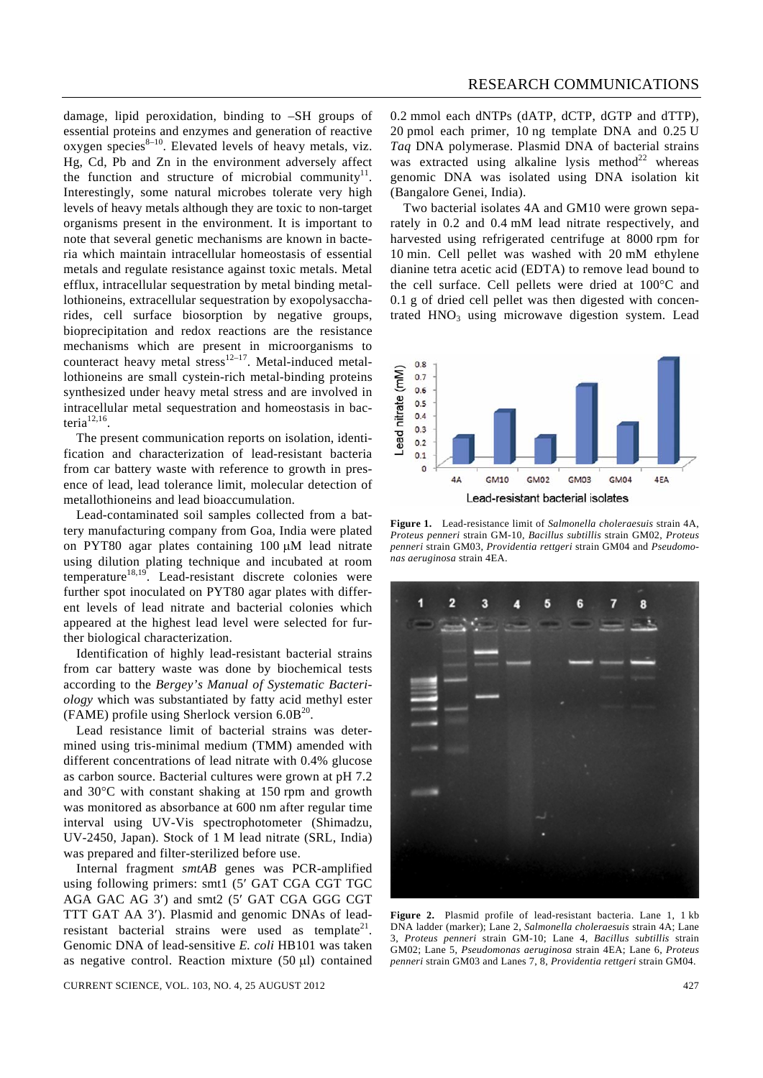damage, lipid peroxidation, binding to –SH groups of essential proteins and enzymes and generation of reactive oxygen species $8-10$ . Elevated levels of heavy metals, viz. Hg, Cd, Pb and Zn in the environment adversely affect the function and structure of microbial community $11$ . Interestingly, some natural microbes tolerate very high levels of heavy metals although they are toxic to non-target organisms present in the environment. It is important to note that several genetic mechanisms are known in bacteria which maintain intracellular homeostasis of essential metals and regulate resistance against toxic metals. Metal efflux, intracellular sequestration by metal binding metallothioneins, extracellular sequestration by exopolysaccharides, cell surface biosorption by negative groups, bioprecipitation and redox reactions are the resistance mechanisms which are present in microorganisms to counteract heavy metal stress $12-17$ . Metal-induced metallothioneins are small cystein-rich metal-binding proteins synthesized under heavy metal stress and are involved in intracellular metal sequestration and homeostasis in bacteri $a^{12,16}$ .

 The present communication reports on isolation, identification and characterization of lead-resistant bacteria from car battery waste with reference to growth in presence of lead, lead tolerance limit, molecular detection of metallothioneins and lead bioaccumulation.

 Lead-contaminated soil samples collected from a battery manufacturing company from Goa, India were plated on PYT80 agar plates containing 100 μM lead nitrate using dilution plating technique and incubated at room temperature<sup>18,19</sup>. Lead-resistant discrete colonies were further spot inoculated on PYT80 agar plates with different levels of lead nitrate and bacterial colonies which appeared at the highest lead level were selected for further biological characterization.

 Identification of highly lead-resistant bacterial strains from car battery waste was done by biochemical tests according to the *Bergey's Manual of Systematic Bacteriology* which was substantiated by fatty acid methyl ester (FAME) profile using Sherlock version  $6.0B^{20}$ .

 Lead resistance limit of bacterial strains was determined using tris-minimal medium (TMM) amended with different concentrations of lead nitrate with 0.4% glucose as carbon source. Bacterial cultures were grown at pH 7.2 and 30°C with constant shaking at 150 rpm and growth was monitored as absorbance at 600 nm after regular time interval using UV-Vis spectrophotometer (Shimadzu, UV-2450, Japan). Stock of 1 M lead nitrate (SRL, India) was prepared and filter-sterilized before use.

 Internal fragment *smtAB* genes was PCR-amplified using following primers: smt1 (5′ GAT CGA CGT TGC AGA GAC AG 3′) and smt2 (5′ GAT CGA GGG CGT TTT GAT AA 3′). Plasmid and genomic DNAs of leadresistant bacterial strains were used as template<sup>21</sup>. Genomic DNA of lead-sensitive *E. coli* HB101 was taken as negative control. Reaction mixture (50 μl) contained

CURRENT SCIENCE, VOL. 103, NO. 4, 25 AUGUST 2012 427

0.2 mmol each dNTPs (dATP, dCTP, dGTP and dTTP), 20 pmol each primer, 10 ng template DNA and 0.25 U *Taq* DNA polymerase. Plasmid DNA of bacterial strains was extracted using alkaline lysis method<sup>22</sup> whereas genomic DNA was isolated using DNA isolation kit (Bangalore Genei, India).

 Two bacterial isolates 4A and GM10 were grown separately in 0.2 and 0.4 mM lead nitrate respectively, and harvested using refrigerated centrifuge at 8000 rpm for 10 min. Cell pellet was washed with 20 mM ethylene dianine tetra acetic acid (EDTA) to remove lead bound to the cell surface. Cell pellets were dried at 100°C and 0.1 g of dried cell pellet was then digested with concentrated  $HNO<sub>3</sub>$  using microwave digestion system. Lead



**Figure 1.** Lead-resistance limit of *Salmonella choleraesuis* strain 4A, *Proteus penneri* strain GM-10, *Bacillus subtillis* strain GM02, *Proteus penneri* strain GM03, *Providentia rettgeri* strain GM04 and *Pseudomonas aeruginosa* strain 4EA.



**Figure 2.** Plasmid profile of lead-resistant bacteria. Lane 1, 1 kb DNA ladder (marker); Lane 2, *Salmonella choleraesuis* strain 4A; Lane 3, *Proteus penneri* strain GM-10; Lane 4, *Bacillus subtillis* strain GM02; Lane 5, *Pseudomonas aeruginosa* strain 4EA; Lane 6, *Proteus penneri* strain GM03 and Lanes 7, 8, *Providentia rettgeri* strain GM04.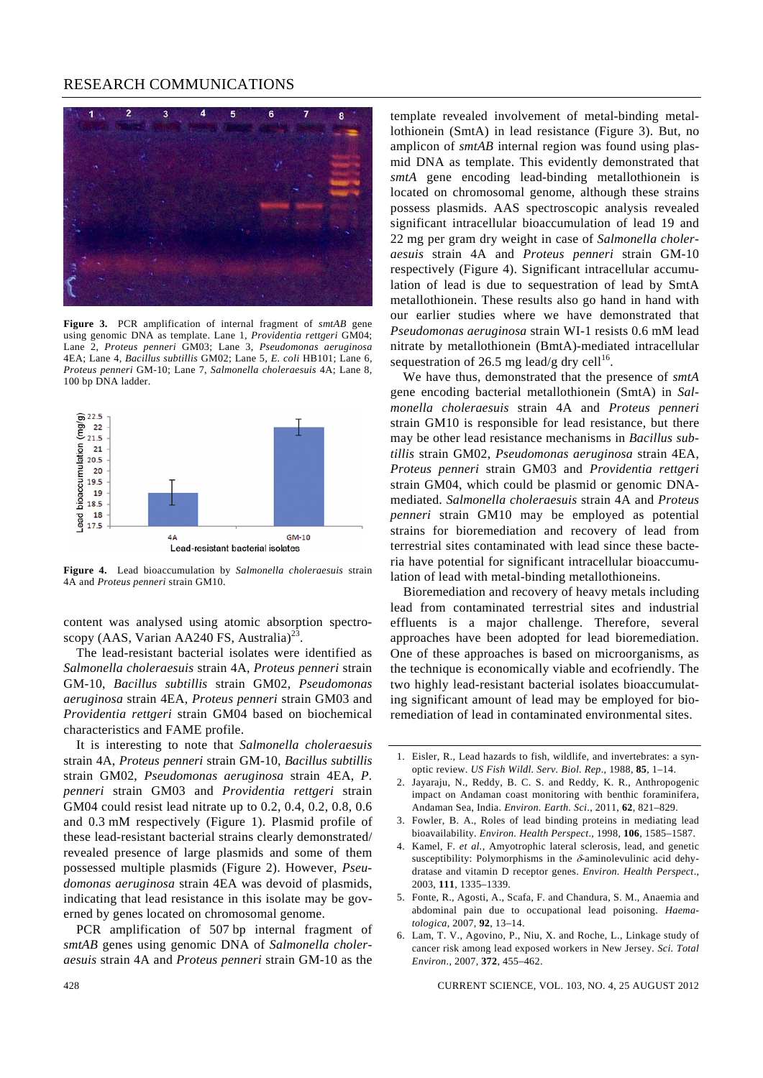## RESEARCH COMMUNICATIONS



**Figure 3.** PCR amplification of internal fragment of *smtAB* gene using genomic DNA as template. Lane 1, *Providentia rettgeri* GM04; Lane 2, *Proteus penneri* GM03; Lane 3, *Pseudomonas aeruginosa* 4EA; Lane 4, *Bacillus subtillis* GM02; Lane 5, *E. coli* HB101; Lane 6, *Proteus penneri* GM-10; Lane 7, *Salmonella choleraesuis* 4A; Lane 8, 100 bp DNA ladder.



**Figure 4.** Lead bioaccumulation by *Salmonella choleraesuis* strain 4A and *Proteus penneri* strain GM10.

content was analysed using atomic absorption spectroscopy (AAS, Varian AA240 FS, Australia)<sup>23</sup>.

 The lead-resistant bacterial isolates were identified as *Salmonella choleraesuis* strain 4A, *Proteus penneri* strain GM-10, *Bacillus subtillis* strain GM02, *Pseudomonas aeruginosa* strain 4EA, *Proteus penneri* strain GM03 and *Providentia rettgeri* strain GM04 based on biochemical characteristics and FAME profile.

 It is interesting to note that *Salmonella choleraesuis* strain 4A, *Proteus penneri* strain GM-10, *Bacillus subtillis* strain GM02, *Pseudomonas aeruginosa* strain 4EA, *P. penneri* strain GM03 and *Providentia rettgeri* strain GM04 could resist lead nitrate up to 0.2, 0.4, 0.2, 0.8, 0.6 and 0.3 mM respectively (Figure 1). Plasmid profile of these lead-resistant bacterial strains clearly demonstrated/ revealed presence of large plasmids and some of them possessed multiple plasmids (Figure 2). However, *Pseudomonas aeruginosa* strain 4EA was devoid of plasmids, indicating that lead resistance in this isolate may be governed by genes located on chromosomal genome.

 PCR amplification of 507 bp internal fragment of *smtAB* genes using genomic DNA of *Salmonella choleraesuis* strain 4A and *Proteus penneri* strain GM-10 as the template revealed involvement of metal-binding metallothionein (SmtA) in lead resistance (Figure 3). But, no amplicon of *smtAB* internal region was found using plasmid DNA as template. This evidently demonstrated that *smtA* gene encoding lead-binding metallothionein is located on chromosomal genome, although these strains possess plasmids. AAS spectroscopic analysis revealed significant intracellular bioaccumulation of lead 19 and 22 mg per gram dry weight in case of *Salmonella choleraesuis* strain 4A and *Proteus penneri* strain GM-10 respectively (Figure 4). Significant intracellular accumulation of lead is due to sequestration of lead by SmtA metallothionein. These results also go hand in hand with our earlier studies where we have demonstrated that *Pseudomonas aeruginosa* strain WI-1 resists 0.6 mM lead nitrate by metallothionein (BmtA)-mediated intracellular sequestration of 26.5 mg lead/g dry cell<sup>16</sup>.

 We have thus, demonstrated that the presence of *smtA* gene encoding bacterial metallothionein (SmtA) in *Salmonella choleraesuis* strain 4A and *Proteus penneri* strain GM10 is responsible for lead resistance, but there may be other lead resistance mechanisms in *Bacillus subtillis* strain GM02, *Pseudomonas aeruginosa* strain 4EA, *Proteus penneri* strain GM03 and *Providentia rettgeri* strain GM04, which could be plasmid or genomic DNAmediated. *Salmonella choleraesuis* strain 4A and *Proteus penneri* strain GM10 may be employed as potential strains for bioremediation and recovery of lead from terrestrial sites contaminated with lead since these bacteria have potential for significant intracellular bioaccumulation of lead with metal-binding metallothioneins.

 Bioremediation and recovery of heavy metals including lead from contaminated terrestrial sites and industrial effluents is a major challenge. Therefore, several approaches have been adopted for lead bioremediation. One of these approaches is based on microorganisms, as the technique is economically viable and ecofriendly. The two highly lead-resistant bacterial isolates bioaccumulating significant amount of lead may be employed for bioremediation of lead in contaminated environmental sites.

- 2. Jayaraju, N., Reddy, B. C. S. and Reddy, K. R., Anthropogenic impact on Andaman coast monitoring with benthic foraminifera, Andaman Sea, India. *Environ. Earth. Sci*., 2011, **62**, 821–829.
- 3. Fowler, B. A., Roles of lead binding proteins in mediating lead bioavailability. *Environ. Health Perspect*., 1998, **106**, 1585–1587.
- 4. Kamel, F. *et al.*, Amyotrophic lateral sclerosis, lead, and genetic susceptibility: Polymorphisms in the  $\delta$ -aminolevulinic acid dehydratase and vitamin D receptor genes. *Environ. Health Perspect*., 2003, **111**, 1335–1339.
- 5. Fonte, R., Agosti, A., Scafa, F. and Chandura, S. M., Anaemia and abdominal pain due to occupational lead poisoning. *Haematologica*, 2007, **92**, 13–14.
- 6. Lam, T. V., Agovino, P., Niu, X. and Roche, L., Linkage study of cancer risk among lead exposed workers in New Jersey. *Sci. Total Environ*., 2007, **372**, 455–462.

428 CURRENT SCIENCE, VOL. 103, NO. 4, 25 AUGUST 2012

<sup>1.</sup> Eisler, R., Lead hazards to fish, wildlife, and invertebrates: a synoptic review. *US Fish Wildl. Serv. Biol. Rep*., 1988, **85**, 1–14.